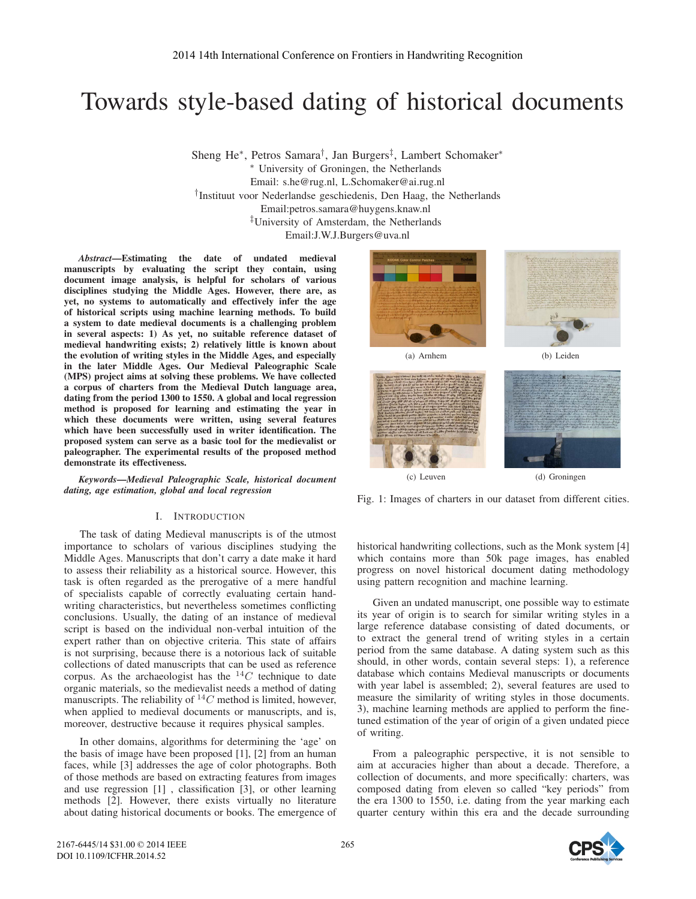# Towards style-based dating of historical documents

Sheng He∗, Petros Samara†, Jan Burgers‡, Lambert Schomaker∗ ∗ University of Groningen, the Netherlands Email: s.he@rug.nl, L.Schomaker@ai.rug.nl †Instituut voor Nederlandse geschiedenis, Den Haag, the Netherlands Email:petros.samara@huygens.knaw.nl ‡University of Amsterdam, the Netherlands Email:J.W.J.Burgers@uva.nl

*Abstract*—Estimating the date of undated medieval manuscripts by evaluating the script they contain, using document image analysis, is helpful for scholars of various disciplines studying the Middle Ages. However, there are, as yet, no systems to automatically and effectively infer the age of historical scripts using machine learning methods. To build a system to date medieval documents is a challenging problem in several aspects: 1) As yet, no suitable reference dataset of medieval handwriting exists; 2) relatively little is known about the evolution of writing styles in the Middle Ages, and especially in the later Middle Ages. Our Medieval Paleographic Scale (MPS) project aims at solving these problems. We have collected a corpus of charters from the Medieval Dutch language area, dating from the period 1300 to 1550. A global and local regression method is proposed for learning and estimating the year in which these documents were written, using several features which have been successfully used in writer identification. The proposed system can serve as a basic tool for the medievalist or paleographer. The experimental results of the proposed method demonstrate its effectiveness.

*Keywords*—*Medieval Paleographic Scale, historical document dating, age estimation, global and local regression*

# I. INTRODUCTION

The task of dating Medieval manuscripts is of the utmost importance to scholars of various disciplines studying the Middle Ages. Manuscripts that don't carry a date make it hard to assess their reliability as a historical source. However, this task is often regarded as the prerogative of a mere handful of specialists capable of correctly evaluating certain handwriting characteristics, but nevertheless sometimes conflicting conclusions. Usually, the dating of an instance of medieval script is based on the individual non-verbal intuition of the expert rather than on objective criteria. This state of affairs is not surprising, because there is a notorious lack of suitable collections of dated manuscripts that can be used as reference corpus. As the archaeologist has the  $^{14}C$  technique to date organic materials, so the medievalist needs a method of dating manuscripts. The reliability of  $^{14}C$  method is limited, however, when applied to medieval documents or manuscripts, and is, moreover, destructive because it requires physical samples.

In other domains, algorithms for determining the 'age' on the basis of image have been proposed [1], [2] from an human faces, while [3] addresses the age of color photographs. Both of those methods are based on extracting features from images and use regression [1] , classification [3], or other learning methods [2]. However, there exists virtually no literature about dating historical documents or books. The emergence of





(a) Arnhem (b) Leiden



Fig. 1: Images of charters in our dataset from different cities.

historical handwriting collections, such as the Monk system [4] which contains more than 50k page images, has enabled progress on novel historical document dating methodology using pattern recognition and machine learning.

Given an undated manuscript, one possible way to estimate its year of origin is to search for similar writing styles in a large reference database consisting of dated documents, or to extract the general trend of writing styles in a certain period from the same database. A dating system such as this should, in other words, contain several steps: 1), a reference database which contains Medieval manuscripts or documents with year label is assembled; 2), several features are used to measure the similarity of writing styles in those documents. 3), machine learning methods are applied to perform the finetuned estimation of the year of origin of a given undated piece of writing.

From a paleographic perspective, it is not sensible to aim at accuracies higher than about a decade. Therefore, a collection of documents, and more specifically: charters, was composed dating from eleven so called "key periods" from the era 1300 to 1550, i.e. dating from the year marking each quarter century within this era and the decade surrounding

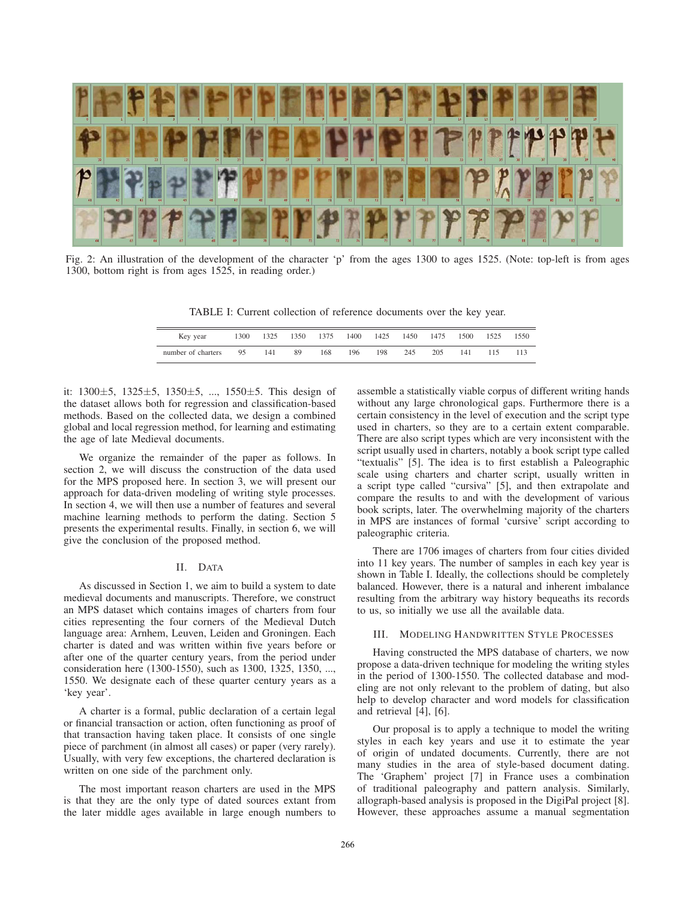

Fig. 2: An illustration of the development of the character 'p' from the ages 1300 to ages 1525. (Note: top-left is from ages 1300, bottom right is from ages 1525, in reading order.)

TABLE I: Current collection of reference documents over the key year.

| Key year           | 1300 | 1325 | 1350 | 1375 | 1400 | 1425 | 1450 | 1475 | 1500 | 1525 | 1550 |
|--------------------|------|------|------|------|------|------|------|------|------|------|------|
| number of charters | 95   | 141  | 89   | 168  | 196  | 198  | 245  | 205  | 141  |      | 113  |

it:  $1300 \pm 5$ ,  $1325 \pm 5$ ,  $1350 \pm 5$ , ...,  $1550 \pm 5$ . This design of the dataset allows both for regression and classification-based methods. Based on the collected data, we design a combined global and local regression method, for learning and estimating the age of late Medieval documents.

We organize the remainder of the paper as follows. In section 2, we will discuss the construction of the data used for the MPS proposed here. In section 3, we will present our approach for data-driven modeling of writing style processes. In section 4, we will then use a number of features and several machine learning methods to perform the dating. Section 5 presents the experimental results. Finally, in section 6, we will give the conclusion of the proposed method.

## II. DATA

As discussed in Section 1, we aim to build a system to date medieval documents and manuscripts. Therefore, we construct an MPS dataset which contains images of charters from four cities representing the four corners of the Medieval Dutch language area: Arnhem, Leuven, Leiden and Groningen. Each charter is dated and was written within five years before or after one of the quarter century years, from the period under consideration here (1300-1550), such as 1300, 1325, 1350, ..., 1550. We designate each of these quarter century years as a 'key year'.

A charter is a formal, public declaration of a certain legal or financial transaction or action, often functioning as proof of that transaction having taken place. It consists of one single piece of parchment (in almost all cases) or paper (very rarely). Usually, with very few exceptions, the chartered declaration is written on one side of the parchment only.

The most important reason charters are used in the MPS is that they are the only type of dated sources extant from the later middle ages available in large enough numbers to assemble a statistically viable corpus of different writing hands without any large chronological gaps. Furthermore there is a certain consistency in the level of execution and the script type used in charters, so they are to a certain extent comparable. There are also script types which are very inconsistent with the script usually used in charters, notably a book script type called "textualis" [5]. The idea is to first establish a Paleographic scale using charters and charter script, usually written in a script type called "cursiva" [5], and then extrapolate and compare the results to and with the development of various book scripts, later. The overwhelming majority of the charters in MPS are instances of formal 'cursive' script according to paleographic criteria.

There are 1706 images of charters from four cities divided into 11 key years. The number of samples in each key year is shown in Table I. Ideally, the collections should be completely balanced. However, there is a natural and inherent imbalance resulting from the arbitrary way history bequeaths its records to us, so initially we use all the available data.

#### III. MODELING HANDWRITTEN STYLE PROCESSES

Having constructed the MPS database of charters, we now propose a data-driven technique for modeling the writing styles in the period of 1300-1550. The collected database and modeling are not only relevant to the problem of dating, but also help to develop character and word models for classification and retrieval [4], [6].

Our proposal is to apply a technique to model the writing styles in each key years and use it to estimate the year of origin of undated documents. Currently, there are not many studies in the area of style-based document dating. The 'Graphem' project [7] in France uses a combination of traditional paleography and pattern analysis. Similarly, allograph-based analysis is proposed in the DigiPal project [8]. However, these approaches assume a manual segmentation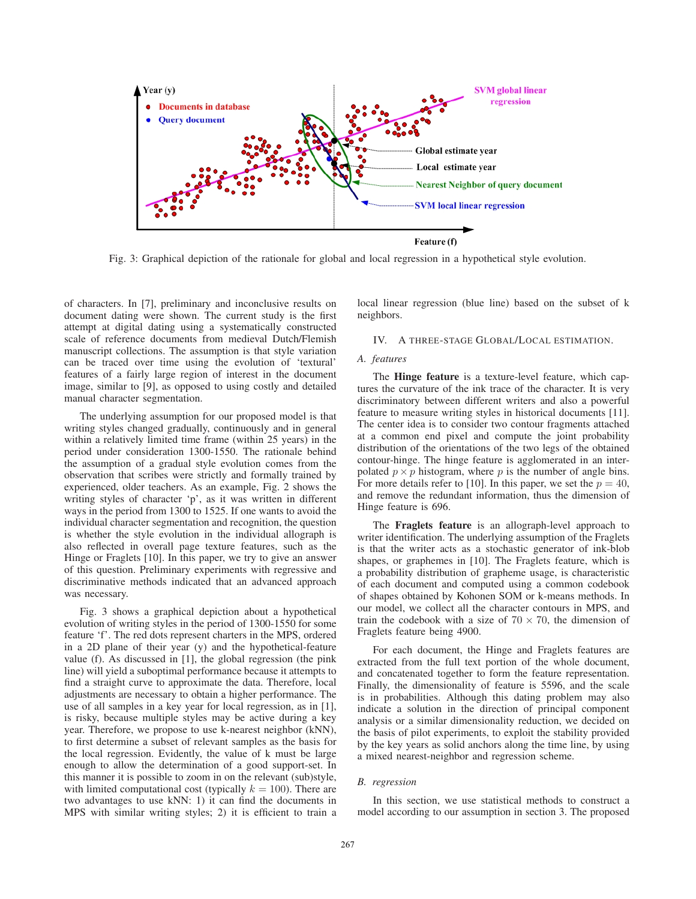

Fig. 3: Graphical depiction of the rationale for global and local regression in a hypothetical style evolution.

of characters. In [7], preliminary and inconclusive results on document dating were shown. The current study is the first attempt at digital dating using a systematically constructed scale of reference documents from medieval Dutch/Flemish manuscript collections. The assumption is that style variation can be traced over time using the evolution of 'textural' features of a fairly large region of interest in the document image, similar to [9], as opposed to using costly and detailed manual character segmentation.

The underlying assumption for our proposed model is that writing styles changed gradually, continuously and in general within a relatively limited time frame (within 25 years) in the period under consideration 1300-1550. The rationale behind the assumption of a gradual style evolution comes from the observation that scribes were strictly and formally trained by experienced, older teachers. As an example, Fig. 2 shows the writing styles of character 'p', as it was written in different ways in the period from 1300 to 1525. If one wants to avoid the individual character segmentation and recognition, the question is whether the style evolution in the individual allograph is also reflected in overall page texture features, such as the Hinge or Fraglets [10]. In this paper, we try to give an answer of this question. Preliminary experiments with regressive and discriminative methods indicated that an advanced approach was necessary.

Fig. 3 shows a graphical depiction about a hypothetical evolution of writing styles in the period of 1300-1550 for some feature 'f'. The red dots represent charters in the MPS, ordered in a 2D plane of their year (y) and the hypothetical-feature value (f). As discussed in [1], the global regression (the pink line) will yield a suboptimal performance because it attempts to find a straight curve to approximate the data. Therefore, local adjustments are necessary to obtain a higher performance. The use of all samples in a key year for local regression, as in [1], is risky, because multiple styles may be active during a key year. Therefore, we propose to use k-nearest neighbor (kNN), to first determine a subset of relevant samples as the basis for the local regression. Evidently, the value of k must be large enough to allow the determination of a good support-set. In this manner it is possible to zoom in on the relevant (sub)style, with limited computational cost (typically  $k = 100$ ). There are two advantages to use kNN: 1) it can find the documents in MPS with similar writing styles; 2) it is efficient to train a local linear regression (blue line) based on the subset of k neighbors.

#### IV. A THREE-STAGE GLOBAL/LOCAL ESTIMATION.

### *A. features*

The Hinge feature is a texture-level feature, which captures the curvature of the ink trace of the character. It is very discriminatory between different writers and also a powerful feature to measure writing styles in historical documents [11]. The center idea is to consider two contour fragments attached at a common end pixel and compute the joint probability distribution of the orientations of the two legs of the obtained contour-hinge. The hinge feature is agglomerated in an interpolated  $p \times p$  histogram, where p is the number of angle bins. For more details refer to [10]. In this paper, we set the  $p = 40$ , and remove the redundant information, thus the dimension of Hinge feature is 696.

The Fraglets feature is an allograph-level approach to writer identification. The underlying assumption of the Fraglets is that the writer acts as a stochastic generator of ink-blob shapes, or graphemes in [10]. The Fraglets feature, which is a probability distribution of grapheme usage, is characteristic of each document and computed using a common codebook of shapes obtained by Kohonen SOM or k-means methods. In our model, we collect all the character contours in MPS, and train the codebook with a size of  $70 \times 70$ , the dimension of Fraglets feature being 4900.

For each document, the Hinge and Fraglets features are extracted from the full text portion of the whole document, and concatenated together to form the feature representation. Finally, the dimensionality of feature is 5596, and the scale is in probabilities. Although this dating problem may also indicate a solution in the direction of principal component analysis or a similar dimensionality reduction, we decided on the basis of pilot experiments, to exploit the stability provided by the key years as solid anchors along the time line, by using a mixed nearest-neighbor and regression scheme.

#### *B. regression*

In this section, we use statistical methods to construct a model according to our assumption in section 3. The proposed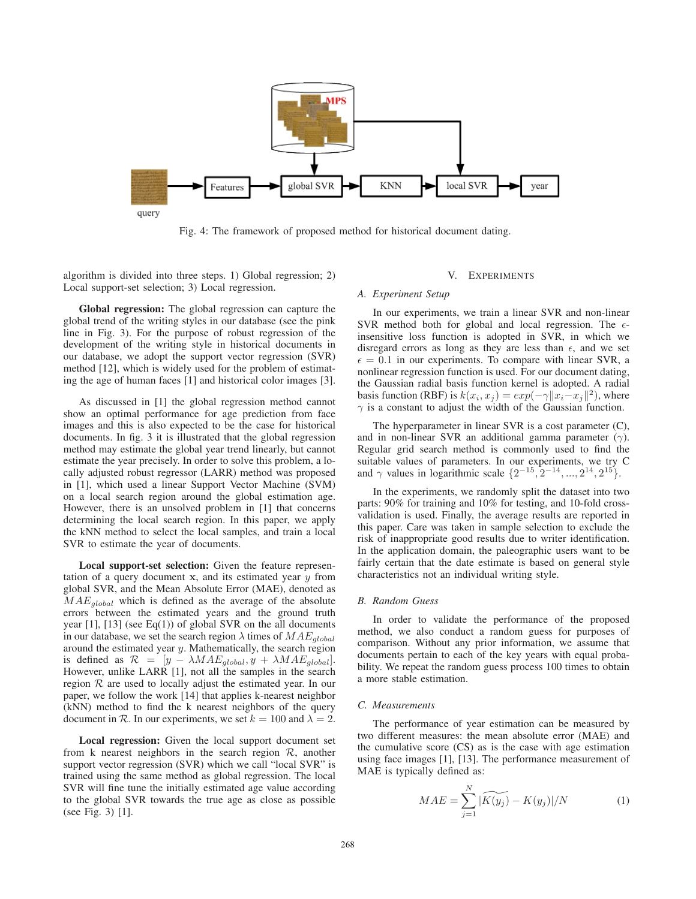

Fig. 4: The framework of proposed method for historical document dating.

algorithm is divided into three steps. 1) Global regression; 2) Local support-set selection; 3) Local regression.

Global regression: The global regression can capture the global trend of the writing styles in our database (see the pink line in Fig. 3). For the purpose of robust regression of the development of the writing style in historical documents in our database, we adopt the support vector regression (SVR) method [12], which is widely used for the problem of estimating the age of human faces [1] and historical color images [3].

As discussed in [1] the global regression method cannot show an optimal performance for age prediction from face images and this is also expected to be the case for historical documents. In fig. 3 it is illustrated that the global regression method may estimate the global year trend linearly, but cannot estimate the year precisely. In order to solve this problem, a locally adjusted robust regressor (LARR) method was proposed in [1], which used a linear Support Vector Machine (SVM) on a local search region around the global estimation age. However, there is an unsolved problem in [1] that concerns determining the local search region. In this paper, we apply the kNN method to select the local samples, and train a local SVR to estimate the year of documents.

Local support-set selection: Given the feature representation of a query document **<sup>x</sup>**, and its estimated year y from global SVR, and the Mean Absolute Error (MAE), denoted as MAE*global* which is defined as the average of the absolute errors between the estimated years and the ground truth year  $[1]$ ,  $[13]$  (see Eq $(1)$ ) of global SVR on the all documents in our database, we set the search region  $\lambda$  times of  $MAE_{global}$ around the estimated year  $y$ . Mathematically, the search region is defined as  $\mathcal{R} = [y - \lambda MAE_{global}, y + \lambda MAE_{global}]$ . However, unlike LARR [1], not all the samples in the search region  $R$  are used to locally adjust the estimated year. In our paper, we follow the work [14] that applies k-nearest neighbor (kNN) method to find the k nearest neighbors of the query document in R. In our experiments, we set  $k = 100$  and  $\lambda = 2$ .

Local regression: Given the local support document set from k nearest neighbors in the search region  $\mathcal{R}$ , another support vector regression (SVR) which we call "local SVR" is trained using the same method as global regression. The local SVR will fine tune the initially estimated age value according to the global SVR towards the true age as close as possible (see Fig. 3) [1].

#### V. EXPERIMENTS

#### *A. Experiment Setup*

In our experiments, we train a linear SVR and non-linear SVR method both for global and local regression. The  $\epsilon$ insensitive loss function is adopted in SVR, in which we disregard errors as long as they are less than  $\epsilon$ , and we set  $\epsilon = 0.1$  in our experiments. To compare with linear SVR, a nonlinear regression function is used. For our document dating, the Gaussian radial basis function kernel is adopted. A radial basis function (RBF) is  $k(x_i, x_j) = exp(-\gamma ||x_i - x_j||^2)$ , where  $\gamma$  is a constant to adjust the width of the Gaussian function basis function (KBF) is  $k(x_i, x_j) = exp(-\gamma ||x_i - x_j||^2)$ , where  $\gamma$  is a constant to adjust the width of the Gaussian function.

The hyperparameter in linear SVR is a cost parameter (C), and in non-linear SVR an additional gamma parameter  $(\gamma)$ . Regular grid search method is commonly used to find the suitable values of parameters. In our experiments, we try C and  $\gamma$  values in logarithmic scale  $\{2^{-15}, 2^{-14}, ..., 2^{14}, 2^{15}\}.$ 

In the experiments, we randomly split the dataset into two parts: 90% for training and 10% for testing, and 10-fold crossvalidation is used. Finally, the average results are reported in this paper. Care was taken in sample selection to exclude the risk of inappropriate good results due to writer identification. In the application domain, the paleographic users want to be fairly certain that the date estimate is based on general style characteristics not an individual writing style.

#### *B. Random Guess*

In order to validate the performance of the proposed method, we also conduct a random guess for purposes of comparison. Without any prior information, we assume that documents pertain to each of the key years with equal probability. We repeat the random guess process 100 times to obtain a more stable estimation.

## *C. Measurements*

The performance of year estimation can be measured by two different measures: the mean absolute error (MAE) and the cumulative score (CS) as is the case with age estimation using face images [1], [13]. The performance measurement of -MAE is typically defined as:

$$
MAE = \sum_{j=1}^{N} |\widetilde{K(y_j)} - K(y_j)|/N
$$
 (1)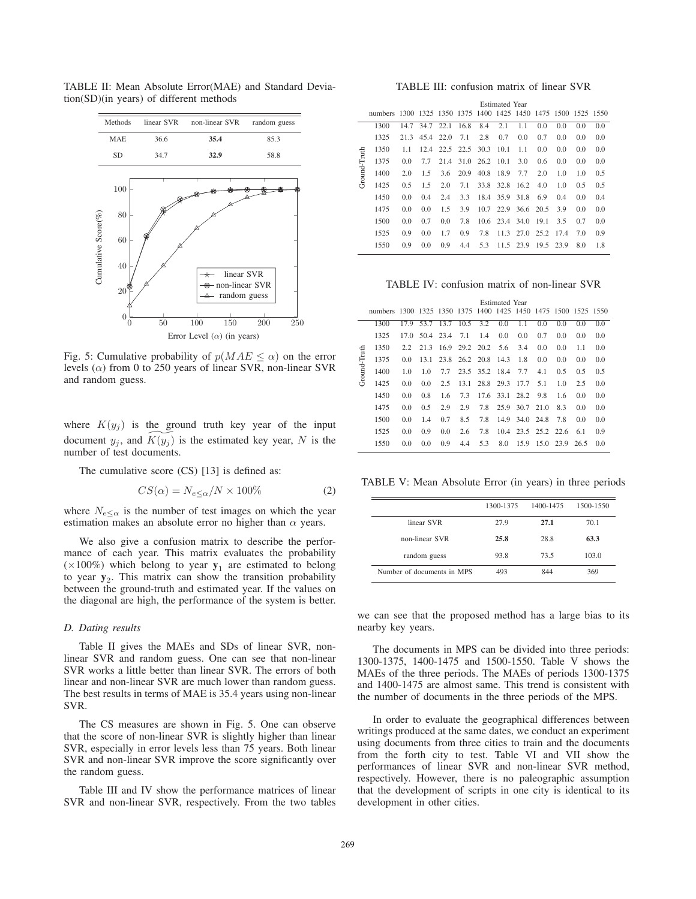

TABLE II: Mean Absolute Error(MAE) and Standard Deviation(SD)(in years) of different methods

Fig. 5: Cumulative probability of  $p(MAE \leq \alpha)$  on the error levels  $(\alpha)$  from 0 to 250 years of linear SVR, non-linear SVR and random guess.

where  $K(y_j)$  is the ground truth key year of the input document  $y_j$ , and  $K(y_j)$  is the estimated key year, N is the number of test documents number of test documents.

The cumulative score (CS) [13] is defined as:

$$
CS(\alpha) = N_{e \le \alpha}/N \times 100\%
$$
 (2)

where  $N_{e<\alpha}$  is the number of test images on which the year estimation makes an absolute error no higher than  $\alpha$  years.

We also give a confusion matrix to describe the performance of each year. This matrix evaluates the probability ( $\times100\%$ ) which belong to year  $y_1$  are estimated to belong to year  $y_2$ . This matrix can show the transition probability between the ground-truth and estimated year. If the values on the diagonal are high, the performance of the system is better.

#### *D. Dating results*

Table II gives the MAEs and SDs of linear SVR, nonlinear SVR and random guess. One can see that non-linear SVR works a little better than linear SVR. The errors of both linear and non-linear SVR are much lower than random guess. The best results in terms of MAE is 35.4 years using non-linear SVR.

The CS measures are shown in Fig. 5. One can observe that the score of non-linear SVR is slightly higher than linear SVR, especially in error levels less than 75 years. Both linear SVR and non-linear SVR improve the score significantly over the random guess.

Table III and IV show the performance matrices of linear SVR and non-linear SVR, respectively. From the two tables

TABLE III: confusion matrix of linear SVR

|              |                                                                | <b>Estimated Year</b> |      |      |      |                |                  |           |           |      |     |     |
|--------------|----------------------------------------------------------------|-----------------------|------|------|------|----------------|------------------|-----------|-----------|------|-----|-----|
|              | numbers 1300 1325 1350 1375 1400 1425 1450 1475 1500 1525 1550 |                       |      |      |      |                |                  |           |           |      |     |     |
|              | 1300                                                           | 14.7                  | 34.7 | 22.1 | 16.8 | 8.4            | 2.1              | 1.1       | 0.0       | 0.0  | 0.0 | 0.0 |
|              | 1325                                                           | 21.3                  | 45.4 | 22.0 | 7.1  | 2.8            | 0.7              | 0.0       | 0.7       | 0.0  | 0.0 | 0.0 |
|              | 1350                                                           | 1.1                   | 12.4 | 22.5 | 22.5 | 30.3           | 10.1             | 1.1       | 0.0       | 0.0  | 0.0 | 0.0 |
| Ground-Truth | 1375                                                           | 0.0                   | 7.7  | 21.4 |      | 31.0 26.2 10.1 |                  | 3.0       | 0.6       | 0.0  | 0.0 | 0.0 |
|              | 1400                                                           | 2.0                   | 1.5  | 3.6  | 20.9 | 40.8           | 18.9             | 7.7       | 2.0       | 1.0  | 1.0 | 0.5 |
|              | 1425                                                           | 0.5                   | 1.5  | 2.0  | 7.1  | 33.8           | 32.8             | 16.2      | 4.0       | 1.0  | 0.5 | 0.5 |
|              | 1450                                                           | 0.0                   | 0.4  | 2.4  | 3.3  | 18.4           | 35.9             | 31.8      | 6.9       | 0.4  | 0.0 | 0.4 |
|              | 1475                                                           | 0.0                   | 0.0  | 1.5  | 3.9  | 10.7           | 22.9             | 36.6      | 20.5      | 3.9  | 0.0 | 0.0 |
|              | 1500                                                           | 0.0                   | 0.7  | 0.0  | 7.8  |                | $10.6$ 23.4 34.0 |           | 19.1      | 3.5  | 0.7 | 0.0 |
|              | 1525                                                           | 0.9                   | 0.0  | 1.7  | 0.9  | 7.8            | 11.3             | 27.0      | 25.2      | 17.4 | 7.0 | 0.9 |
|              | 1550                                                           | 0.9                   | 0.0  | 0.9  | 4.4  | 5.3            |                  | 11.5 23.9 | 19.5 23.9 |      | 8.0 | 1.8 |

TABLE IV: confusion matrix of non-linear SVR

|      | Estimated Year |      |     |           |     |                            |                                                         |                                  |                                  |                             |                                                                |
|------|----------------|------|-----|-----------|-----|----------------------------|---------------------------------------------------------|----------------------------------|----------------------------------|-----------------------------|----------------------------------------------------------------|
|      |                |      |     |           |     |                            |                                                         |                                  |                                  |                             |                                                                |
| 1300 | 17.9           |      |     |           |     | 0.0                        | 1.1                                                     | 0.0                              | 0.0                              | 0.0                         | 0.0                                                            |
| 1325 | 17.0           |      |     | 7.1       | 1.4 | 0.0                        | 0.0                                                     | 0.7                              | 0.0                              | 0.0                         | 0.0                                                            |
| 1350 | 2.2            | 21.3 |     |           |     | 5.6                        | 3.4                                                     | 0.0                              | 0.0                              | 1.1                         | 0.0                                                            |
| 1375 | 0.0            | 13.1 |     |           |     |                            | 1.8                                                     | 0.0                              | 0.0                              | 0.0                         | 0.0                                                            |
| 1400 | 1.0            | 1.0  | 7.7 |           |     |                            | 7.7                                                     | 4.1                              | 0.5                              | 0.5                         | 0.5                                                            |
| 1425 | 0.0            | 0.0  | 2.5 |           |     |                            |                                                         | 5.1                              | 1.0                              | 2.5                         | 0.0                                                            |
| 1450 | 0.0            | 0.8  | 1.6 | 7.3       |     |                            |                                                         | 9.8                              | 1.6                              | 0.0                         | 0.0                                                            |
| 1475 | 0.0            | 0.5  | 2.9 | 2.9       | 7.8 |                            |                                                         |                                  | 8.3                              | 0.0                         | 0.0                                                            |
| 1500 | 0.0            | 1.4  | 0.7 | 8.5       | 7.8 |                            |                                                         |                                  | 7.8                              | 0.0                         | 0.0                                                            |
| 1525 | 0.0            | 0.9  | 0.0 | 2.6       | 7.8 |                            |                                                         |                                  |                                  | 6.1                         | 0.9                                                            |
| 1550 | 0.0            | 0.0  | 0.9 | 4.4       | 5.3 | 8.0                        | 15.9                                                    |                                  | 23.9                             | 26.5                        | 0.0                                                            |
|      |                |      |     | 50.4 23.4 |     | 53.7 13.7 10.5 3.2<br>13.1 | 16.9 29.2 20.2<br>23.8 26.2 20.8 14.3<br>23.5 35.2 18.4 | 28.8 29.3 17.7<br>17.6 33.1 28.2 | 25.9 30.7 21.0<br>14.9 34.0 24.8 | 10.4 23.5 25.2 22.6<br>15.0 | numbers 1300 1325 1350 1375 1400 1425 1450 1475 1500 1525 1550 |

TABLE V: Mean Absolute Error (in years) in three periods

|                            | 1300-1375 | 1400-1475 | 1500-1550 |
|----------------------------|-----------|-----------|-----------|
| linear SVR                 | 27.9      | 27.1      | 70.1      |
| non-linear SVR             | 25.8      | 28.8      | 63.3      |
| random guess               | 93.8      | 73.5      | 103.0     |
| Number of documents in MPS | 493       | 844       | 369       |

we can see that the proposed method has a large bias to its nearby key years.

The documents in MPS can be divided into three periods: 1300-1375, 1400-1475 and 1500-1550. Table V shows the MAEs of the three periods. The MAEs of periods 1300-1375 and 1400-1475 are almost same. This trend is consistent with the number of documents in the three periods of the MPS.

In order to evaluate the geographical differences between writings produced at the same dates, we conduct an experiment using documents from three cities to train and the documents from the forth city to test. Table VI and VII show the performances of linear SVR and non-linear SVR method, respectively. However, there is no paleographic assumption that the development of scripts in one city is identical to its development in other cities.